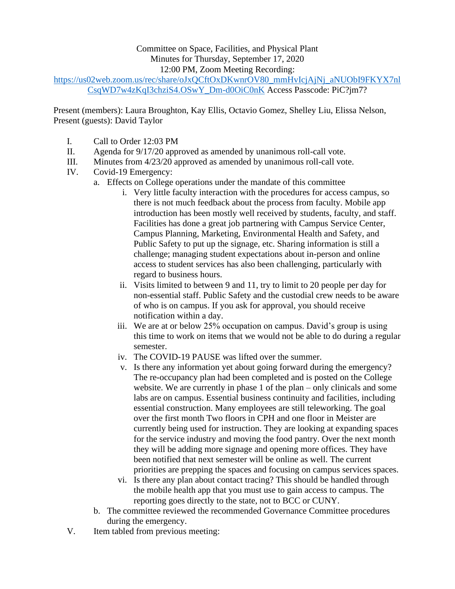## Committee on Space, Facilities, and Physical Plant Minutes for Thursday, September 17, 2020 12:00 PM, Zoom Meeting Recording:

[https://us02web.zoom.us/rec/share/oJxQCftOxDKwnrOV80\\_mmHvIcjAjNj\\_aNUObI9FKYX7nl](https://us02web.zoom.us/rec/share/oJxQCftOxDKwnrOV80_mmHvIcjAjNj_aNUObI9FKYX7nlCsqWD7w4zKqI3chziS4.OSwY_Dm-d0OiC0nK) [CsqWD7w4zKqI3chziS4.OSwY\\_Dm-d0OiC0nK](https://us02web.zoom.us/rec/share/oJxQCftOxDKwnrOV80_mmHvIcjAjNj_aNUObI9FKYX7nlCsqWD7w4zKqI3chziS4.OSwY_Dm-d0OiC0nK) Access Passcode: PiC?jm7?

Present (members): Laura Broughton, Kay Ellis, Octavio Gomez, Shelley Liu, Elissa Nelson, Present (guests): David Taylor

- I. Call to Order 12:03 PM
- II. Agenda for 9/17/20 approved as amended by unanimous roll-call vote.
- III. Minutes from 4/23/20 approved as amended by unanimous roll-call vote.
- IV. Covid-19 Emergency:
	- a. Effects on College operations under the mandate of this committee
		- i. Very little faculty interaction with the procedures for access campus, so there is not much feedback about the process from faculty. Mobile app introduction has been mostly well received by students, faculty, and staff. Facilities has done a great job partnering with Campus Service Center, Campus Planning, Marketing, Environmental Health and Safety, and Public Safety to put up the signage, etc. Sharing information is still a challenge; managing student expectations about in-person and online access to student services has also been challenging, particularly with regard to business hours.
		- ii. Visits limited to between 9 and 11, try to limit to 20 people per day for non-essential staff. Public Safety and the custodial crew needs to be aware of who is on campus. If you ask for approval, you should receive notification within a day.
		- iii. We are at or below 25% occupation on campus. David's group is using this time to work on items that we would not be able to do during a regular semester.
		- iv. The COVID-19 PAUSE was lifted over the summer.
		- v. Is there any information yet about going forward during the emergency? The re-occupancy plan had been completed and is posted on the College website. We are currently in phase 1 of the plan – only clinicals and some labs are on campus. Essential business continuity and facilities, including essential construction. Many employees are still teleworking. The goal over the first month Two floors in CPH and one floor in Meister are currently being used for instruction. They are looking at expanding spaces for the service industry and moving the food pantry. Over the next month they will be adding more signage and opening more offices. They have been notified that next semester will be online as well. The current priorities are prepping the spaces and focusing on campus services spaces.
		- vi. Is there any plan about contact tracing? This should be handled through the mobile health app that you must use to gain access to campus. The reporting goes directly to the state, not to BCC or CUNY.
	- b. The committee reviewed the recommended Governance Committee procedures during the emergency.
- V. Item tabled from previous meeting: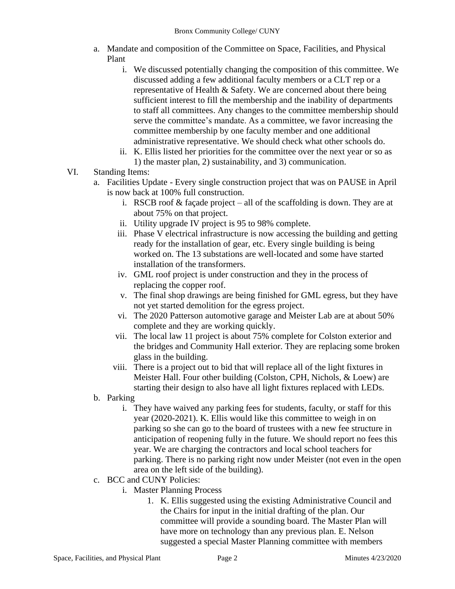- a. Mandate and composition of the Committee on Space, Facilities, and Physical Plant
	- i. We discussed potentially changing the composition of this committee. We discussed adding a few additional faculty members or a CLT rep or a representative of Health & Safety. We are concerned about there being sufficient interest to fill the membership and the inability of departments to staff all committees. Any changes to the committee membership should serve the committee's mandate. As a committee, we favor increasing the committee membership by one faculty member and one additional administrative representative. We should check what other schools do.
	- ii. K. Ellis listed her priorities for the committee over the next year or so as 1) the master plan, 2) sustainability, and 3) communication.
- VI. Standing Items:
	- a. Facilities Update Every single construction project that was on PAUSE in April is now back at 100% full construction.
		- i. RSCB roof & façade project all of the scaffolding is down. They are at about 75% on that project.
		- ii. Utility upgrade IV project is 95 to 98% complete.
		- iii. Phase V electrical infrastructure is now accessing the building and getting ready for the installation of gear, etc. Every single building is being worked on. The 13 substations are well-located and some have started installation of the transformers.
		- iv. GML roof project is under construction and they in the process of replacing the copper roof.
		- v. The final shop drawings are being finished for GML egress, but they have not yet started demolition for the egress project.
		- vi. The 2020 Patterson automotive garage and Meister Lab are at about 50% complete and they are working quickly.
		- vii. The local law 11 project is about 75% complete for Colston exterior and the bridges and Community Hall exterior. They are replacing some broken glass in the building.
		- viii. There is a project out to bid that will replace all of the light fixtures in Meister Hall. Four other building (Colston, CPH, Nichols, & Loew) are starting their design to also have all light fixtures replaced with LEDs.
	- b. Parking
		- i. They have waived any parking fees for students, faculty, or staff for this year (2020-2021). K. Ellis would like this committee to weigh in on parking so she can go to the board of trustees with a new fee structure in anticipation of reopening fully in the future. We should report no fees this year. We are charging the contractors and local school teachers for parking. There is no parking right now under Meister (not even in the open area on the left side of the building).
	- c. BCC and CUNY Policies:
		- i. Master Planning Process
			- 1. K. Ellis suggested using the existing Administrative Council and the Chairs for input in the initial drafting of the plan. Our committee will provide a sounding board. The Master Plan will have more on technology than any previous plan. E. Nelson suggested a special Master Planning committee with members